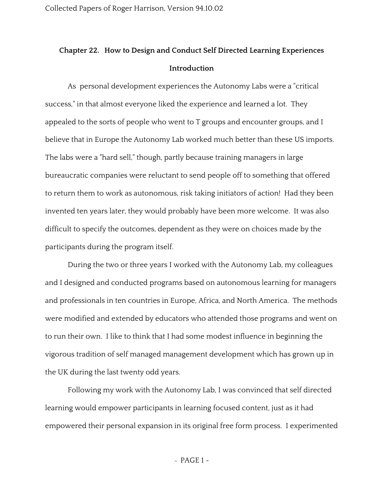# **Chapter 22. How to Design and Conduct Self Directed Learning Experiences Introduction**

As personal development experiences the Autonomy Labs were a "critical success," in that almost everyone liked the experience and learned a lot. They appealed to the sorts of people who went to T groups and encounter groups, and I believe that in Europe the Autonomy Lab worked much better than these US imports. The labs were a "hard sell," though, partly because training managers in large bureaucratic companies were reluctant to send people off to something that offered to return them to work as autonomous, risk taking initiators of action! Had they been invented ten years later, they would probably have been more welcome. It was also difficult to specify the outcomes, dependent as they were on choices made by the participants during the program itself.

During the two or three years I worked with the Autonomy Lab, my colleagues and I designed and conducted programs based on autonomous learning for managers and professionals in ten countries in Europe, Africa, and North America. The methods were modified and extended by educators who attended those programs and went on to run their own. I like to think that I had some modest influence in beginning the vigorous tradition of self managed management development which has grown up in the UK during the last twenty odd years.

Following my work with the Autonomy Lab, I was convinced that self directed learning would empower participants in learning focused content, just as it had empowered their personal expansion in its original free form process. I experimented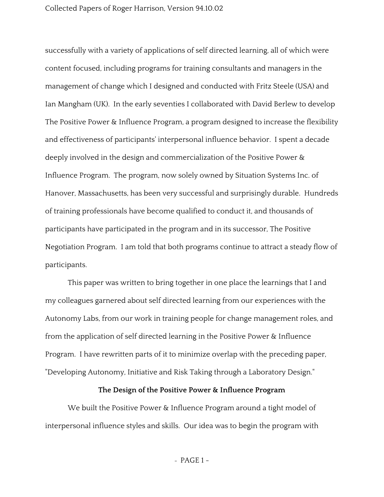successfully with a variety of applications of self directed learning, all of which were content focused, including programs for training consultants and managers in the management of change which I designed and conducted with Fritz Steele (USA) and Ian Mangham (UK). In the early seventies I collaborated with David Berlew to develop The Positive Power & Influence Program, a program designed to increase the flexibility and effectiveness of participants' interpersonal influence behavior. I spent a decade deeply involved in the design and commercialization of the Positive Power & Influence Program. The program, now solely owned by Situation Systems Inc. of Hanover, Massachusetts, has been very successful and surprisingly durable. Hundreds of training professionals have become qualified to conduct it, and thousands of participants have participated in the program and in its successor, The Positive Negotiation Program. I am told that both programs continue to attract a steady flow of participants.

This paper was written to bring together in one place the learnings that I and my colleagues garnered about self directed learning from our experiences with the Autonomy Labs, from our work in training people for change management roles, and from the application of self directed learning in the Positive Power & Influence Program. I have rewritten parts of it to minimize overlap with the preceding paper, "Developing Autonomy, Initiative and Risk Taking through a Laboratory Design."

# **The Design of the Positive Power & Influence Program**

We built the Positive Power & Influence Program around a tight model of interpersonal influence styles and skills. Our idea was to begin the program with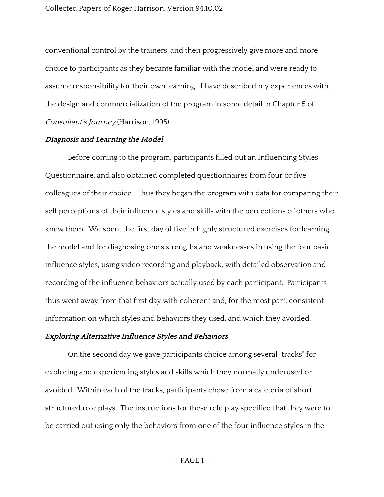conventional control by the trainers, and then progressively give more and more choice to participants as they became familiar with the model and were ready to assume responsibility for their own learning. I have described my experiences with the design and commercialization of the program in some detail in Chapter 5 of Consultant's Journey (Harrison, 1995).

#### **Diagnosis and Learning the Model**

Before coming to the program, participants filled out an Influencing Styles Questionnaire, and also obtained completed questionnaires from four or five colleagues of their choice. Thus they began the program with data for comparing their self perceptions of their influence styles and skills with the perceptions of others who knew them. We spent the first day of five in highly structured exercises for learning the model and for diagnosing one's strengths and weaknesses in using the four basic influence styles, using video recording and playback, with detailed observation and recording of the influence behaviors actually used by each participant. Participants thus went away from that first day with coherent and, for the most part, consistent information on which styles and behaviors they used, and which they avoided.

### **Exploring Alternative Influence Styles and Behaviors**

On the second day we gave participants choice among several "tracks" for exploring and experiencing styles and skills which they normally underused or avoided. Within each of the tracks, participants chose from a cafeteria of short structured role plays. The instructions for these role play specified that they were to be carried out using only the behaviors from one of the four influence styles in the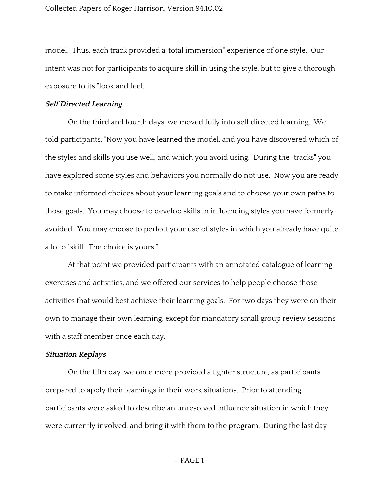model. Thus, each track provided a 'total immersion" experience of one style. Our intent was not for participants to acquire skill in using the style, but to give a thorough exposure to its "look and feel."

#### **Self Directed Learning**

On the third and fourth days, we moved fully into self directed learning. We told participants, "Now you have learned the model, and you have discovered which of the styles and skills you use well, and which you avoid using. During the "tracks" you have explored some styles and behaviors you normally do not use. Now you are ready to make informed choices about your learning goals and to choose your own paths to those goals. You may choose to develop skills in influencing styles you have formerly avoided. You may choose to perfect your use of styles in which you already have quite a lot of skill. The choice is yours."

At that point we provided participants with an annotated catalogue of learning exercises and activities, and we offered our services to help people choose those activities that would best achieve their learning goals. For two days they were on their own to manage their own learning, except for mandatory small group review sessions with a staff member once each day.

#### **Situation Replays**

On the fifth day, we once more provided a tighter structure, as participants prepared to apply their learnings in their work situations. Prior to attending, participants were asked to describe an unresolved influence situation in which they were currently involved, and bring it with them to the program. During the last day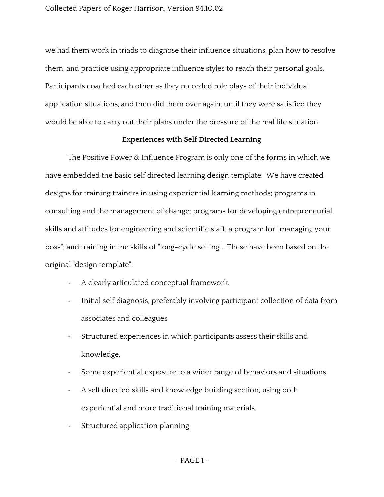we had them work in triads to diagnose their influence situations, plan how to resolve them, and practice using appropriate influence styles to reach their personal goals. Participants coached each other as they recorded role plays of their individual application situations, and then did them over again, until they were satisfied they would be able to carry out their plans under the pressure of the real life situation.

# **Experiences with Self Directed Learning**

The Positive Power & Influence Program is only one of the forms in which we have embedded the basic self directed learning design template. We have created designs for training trainers in using experiential learning methods; programs in consulting and the management of change; programs for developing entrepreneurial skills and attitudes for engineering and scientific staff; a program for "managing your boss"; and training in the skills of "long-cycle selling". These have been based on the original "design template":

- A clearly articulated conceptual framework.
- Initial self diagnosis, preferably involving participant collection of data from associates and colleagues.
- Structured experiences in which participants assess their skills and knowledge.
- Some experiential exposure to a wider range of behaviors and situations.
- A self directed skills and knowledge building section, using both experiential and more traditional training materials.
- Structured application planning.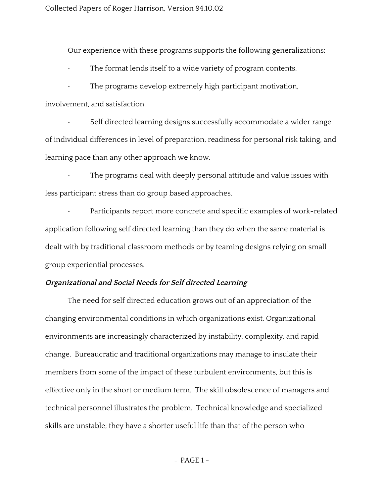Our experience with these programs supports the following generalizations:

The format lends itself to a wide variety of program contents.

The programs develop extremely high participant motivation, involvement, and satisfaction.

Self directed learning designs successfully accommodate a wider range of individual differences in level of preparation, readiness for personal risk taking, and learning pace than any other approach we know.

The programs deal with deeply personal attitude and value issues with less participant stress than do group based approaches.

Participants report more concrete and specific examples of work-related application following self directed learning than they do when the same material is dealt with by traditional classroom methods or by teaming designs relying on small group experiential processes.

# **Organizational and Social Needs for Self directed Learning**

The need for self directed education grows out of an appreciation of the changing environmental conditions in which organizations exist. Organizational environments are increasingly characterized by instability, complexity, and rapid change. Bureaucratic and traditional organizations may manage to insulate their members from some of the impact of these turbulent environments, but this is effective only in the short or medium term. The skill obsolescence of managers and technical personnel illustrates the problem. Technical knowledge and specialized skills are unstable; they have a shorter useful life than that of the person who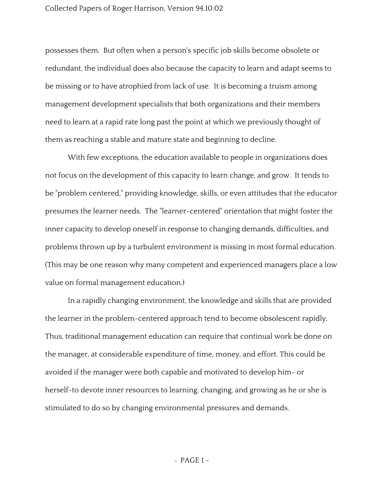possesses them. But often when a person's specific job skills become obsolete or redundant, the individual does also because the capacity to learn and adapt seems to be missing or to have atrophied from lack of use. It is becoming a truism among management development specialists that both organizations and their members need to learn at a rapid rate long past the point at which we previously thought of them as reaching a stable and mature state and beginning to decline.

With few exceptions, the education available to people in organizations does not focus on the development of this capacity to learn change, and grow. It tends to be "problem centered," providing knowledge, skills, or even attitudes that the educator presumes the learner needs. The "learner-centered" orientation that might foster the inner capacity to develop oneself in response to changing demands, difficulties, and problems thrown up by a turbulent environment is missing in most formal education. (This may be one reason why many competent and experienced managers place a low value on formal management education.)

In a rapidly changing environment, the knowledge and skills that are provided the learner in the problem-centered approach tend to become obsolescent rapidly. Thus, traditional management education can require that continual work be done on the manager, at considerable expenditure of time, money, and effort. This could be avoided if the manager were both capable and motivated to develop him- or herself-to devote inner resources to learning. changing, and growing as he or she is stimulated to do so by changing environmental pressures and demands.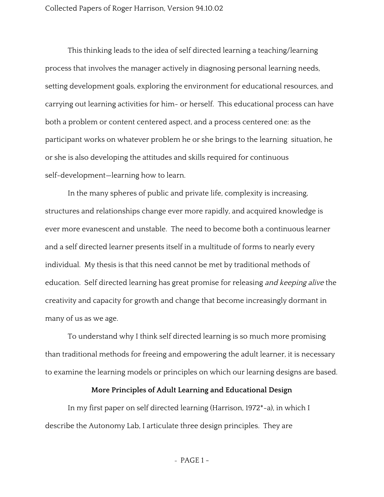This thinking leads to the idea of self directed learning a teaching/learning process that involves the manager actively in diagnosing personal learning needs, setting development goals, exploring the environment for educational resources, and carrying out learning activities for him- or herself. This educational process can have both a problem or content centered aspect, and a process centered one: as the participant works on whatever problem he or she brings to the learning situation, he or she is also developing the attitudes and skills required for continuous self-development—learning how to learn.

In the many spheres of public and private life, complexity is increasing, structures and relationships change ever more rapidly, and acquired knowledge is ever more evanescent and unstable. The need to become both a continuous learner and a self directed learner presents itself in a multitude of forms to nearly every individual. My thesis is that this need cannot be met by traditional methods of education. Self directed learning has great promise for releasing and keeping alive the creativity and capacity for growth and change that become increasingly dormant in many of us as we age.

To understand why I think self directed learning is so much more promising than traditional methods for freeing and empowering the adult learner, it is necessary to examine the learning models or principles on which our learning designs are based.

# **More Principles of Adult Learning and Educational Design**

In my first paper on self directed learning (Harrison, 1972\*-a), in which I describe the Autonomy Lab, I articulate three design principles. They are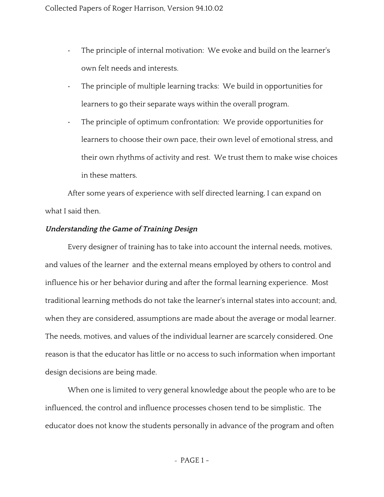- The principle of internal motivation: We evoke and build on the learner's own felt needs and interests.
- The principle of multiple learning tracks: We build in opportunities for learners to go their separate ways within the overall program.
- The principle of optimum confrontation: We provide opportunities for learners to choose their own pace, their own level of emotional stress, and their own rhythms of activity and rest. We trust them to make wise choices in these matters.

After some years of experience with self directed learning, I can expand on what I said then.

# **Understanding the Game of Training Design**

Every designer of training has to take into account the internal needs, motives, and values of the learner and the external means employed by others to control and influence his or her behavior during and after the formal learning experience. Most traditional learning methods do not take the learner's internal states into account; and, when they are considered, assumptions are made about the average or modal learner. The needs, motives, and values of the individual learner are scarcely considered. One reason is that the educator has little or no access to such information when important design decisions are being made.

When one is limited to very general knowledge about the people who are to be influenced, the control and influence processes chosen tend to be simplistic. The educator does not know the students personally in advance of the program and often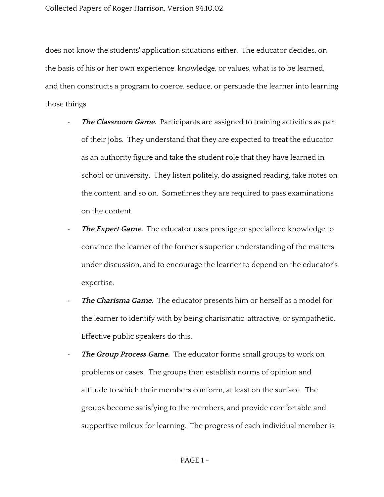does not know the students' application situations either. The educator decides, on the basis of his or her own experience, knowledge, or values, what is to be learned, and then constructs a program to coerce, seduce, or persuade the learner into learning those things.

- **The Classroom Game.** Participants are assigned to training activities as part of their jobs. They understand that they are expected to treat the educator as an authority figure and take the student role that they have learned in school or university. They listen politely, do assigned reading, take notes on the content, and so on. Sometimes they are required to pass examinations on the content.
- **The Expert Game.**The educator uses prestige or specialized knowledge to convince the learner of the former's superior understanding of the matters under discussion, and to encourage the learner to depend on the educator's expertise.
- **The Charisma Game.** The educator presents him or herself as a model for the learner to identify with by being charismatic, attractive, or sympathetic. Effective public speakers do this.
- **The Group Process Game.** The educator forms small groups to work on problems or cases. The groups then establish norms of opinion and attitude to which their members conform, at least on the surface. The groups become satisfying to the members, and provide comfortable and supportive mileux for learning. The progress of each individual member is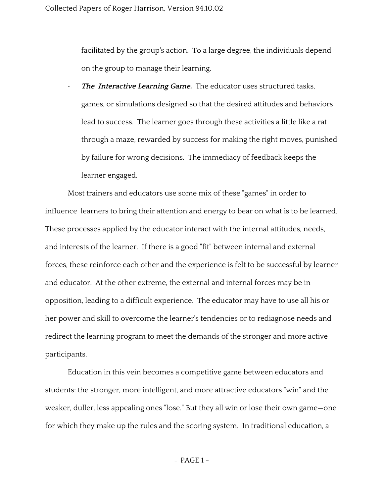facilitated by the group's action. To a large degree, the individuals depend on the group to manage their learning.

• **The Interactive Learning Game.** The educator uses structured tasks, games, or simulations designed so that the desired attitudes and behaviors lead to success. The learner goes through these activities a little like a rat through a maze, rewarded by success for making the right moves, punished by failure for wrong decisions. The immediacy of feedback keeps the learner engaged.

Most trainers and educators use some mix of these "games" in order to influence learners to bring their attention and energy to bear on what is to be learned. These processes applied by the educator interact with the internal attitudes, needs, and interests of the learner. If there is a good "fit" between internal and external forces, these reinforce each other and the experience is felt to be successful by learner and educator. At the other extreme, the external and internal forces may be in opposition, leading to a difficult experience. The educator may have to use all his or her power and skill to overcome the learner's tendencies or to rediagnose needs and redirect the learning program to meet the demands of the stronger and more active participants.

Education in this vein becomes a competitive game between educators and students: the stronger, more intelligent, and more attractive educators "win" and the weaker, duller, less appealing ones "lose." But they all win or lose their own game—one for which they make up the rules and the scoring system. In traditional education, a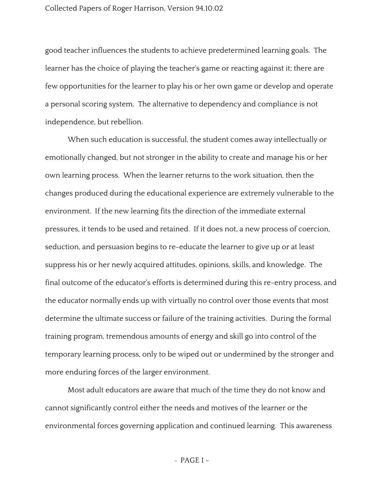good teacher influences the students to achieve predetermined learning goals. The learner has the choice of playing the teacher's game or reacting against it; there are few opportunities for the learner to play his or her own game or develop and operate a personal scoring system. The alternative to dependency and compliance is not independence, but rebellion.

When such education is successful, the student comes away intellectually or emotionally changed, but not stronger in the ability to create and manage his or her own learning process. When the learner returns to the work situation, then the changes produced during the educational experience are extremely vulnerable to the environment. If the new learning fits the direction of the immediate external pressures, it tends to be used and retained. If it does not, a new process of coercion, seduction, and persuasion begins to re-educate the learner to give up or at least suppress his or her newly acquired attitudes, opinions, skills, and knowledge. The final outcome of the educator's efforts is determined during this re-entry process, and the educator normally ends up with virtually no control over those events that most determine the ultimate success or failure of the training activities. During the formal training program, tremendous amounts of energy and skill go into control of the temporary learning process, only to be wiped out or undermined by the stronger and more enduring forces of the larger environment.

Most adult educators are aware that much of the time they do not know and cannot significantly control either the needs and motives of the learner or the environmental forces governing application and continued learning. This awareness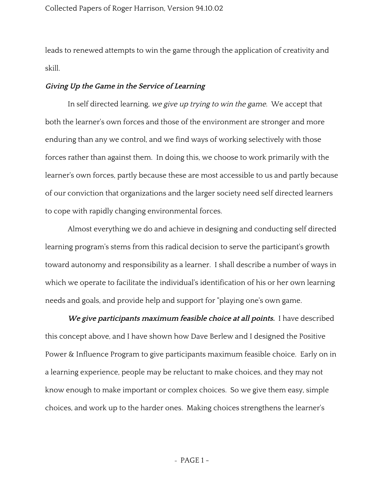leads to renewed attempts to win the game through the application of creativity and skill.

# **Giving Up the Game in the Service of Learning**

In self directed learning, we give up trying to win the game. We accept that both the learner's own forces and those of the environment are stronger and more enduring than any we control, and we find ways of working selectively with those forces rather than against them. In doing this, we choose to work primarily with the learner's own forces, partly because these are most accessible to us and partly because of our conviction that organizations and the larger society need self directed learners to cope with rapidly changing environmental forces.

Almost everything we do and achieve in designing and conducting self directed learning program's stems from this radical decision to serve the participant's growth toward autonomy and responsibility as a learner. I shall describe a number of ways in which we operate to facilitate the individual's identification of his or her own learning needs and goals, and provide help and support for "playing one's own game.

**We give participants maximum feasible choice at all points.**I have described this concept above, and I have shown how Dave Berlew and I designed the Positive Power & Influence Program to give participants maximum feasible choice. Early on in a learning experience, people may be reluctant to make choices, and they may not know enough to make important or complex choices. So we give them easy, simple choices, and work up to the harder ones. Making choices strengthens the learner's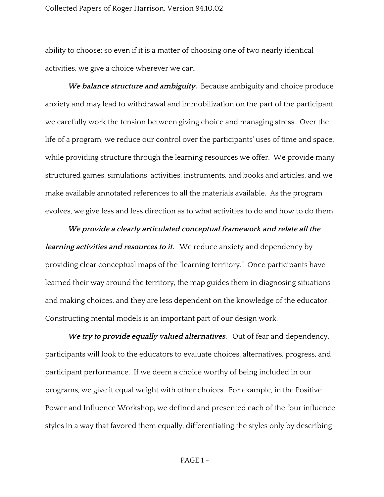ability to choose; so even if it is a matter of choosing one of two nearly identical activities, we give a choice wherever we can.

**We balance structure and ambiguity.**Because ambiguity and choice produce anxiety and may lead to withdrawal and immobilization on the part of the participant, we carefully work the tension between giving choice and managing stress. Over the life of a program, we reduce our control over the participants' uses of time and space, while providing structure through the learning resources we offer. We provide many structured games, simulations, activities, instruments, and books and articles, and we make available annotated references to all the materials available. As the program evolves, we give less and less direction as to what activities to do and how to do them.

# **We provide <sup>a</sup> clearly articulated conceptual framework and relate all the**

**learning activities and resources to it.**We reduce anxiety and dependency by providing clear conceptual maps of the "learning territory." Once participants have learned their way around the territory, the map guides them in diagnosing situations and making choices, and they are less dependent on the knowledge of the educator. Constructing mental models is an important part of our design work.

**We try to provide equally valued alternatives.** Out of fear and dependency, participants will look to the educators to evaluate choices, alternatives, progress, and participant performance. If we deem a choice worthy of being included in our programs, we give it equal weight with other choices. For example, in the Positive Power and Influence Workshop, we defined and presented each of the four influence styles in a way that favored them equally, differentiating the styles only by describing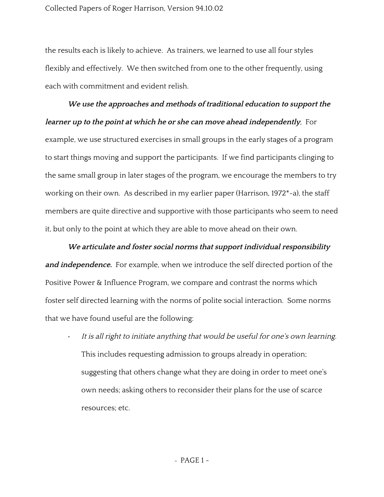the results each is likely to achieve. As trainers, we learned to use all four styles flexibly and effectively. We then switched from one to the other frequently, using each with commitment and evident relish.

# **We use the approaches and methods of traditional education to support the learner up to the point at which he or she can move ahead independently**, For example, we use structured exercises in small groups in the early stages of a program to start things moving and support the participants. If we find participants clinging to the same small group in later stages of the program, we encourage the members to try working on their own. As described in my earlier paper (Harrison, 1972\*-a), the staff members are quite directive and supportive with those participants who seem to need it, but only to the point at which they are able to move ahead on their own.

**We articulate and foster social norms that support individual responsibility and independence.** For example, when we introduce the self directed portion of the Positive Power & Influence Program, we compare and contrast the norms which foster self directed learning with the norms of polite social interaction. Some norms that we have found useful are the following:

• It is all right to initiate anything that would be useful for one's own learning. This includes requesting admission to groups already in operation; suggesting that others change what they are doing in order to meet one's own needs; asking others to reconsider their plans for the use of scarce resources; etc.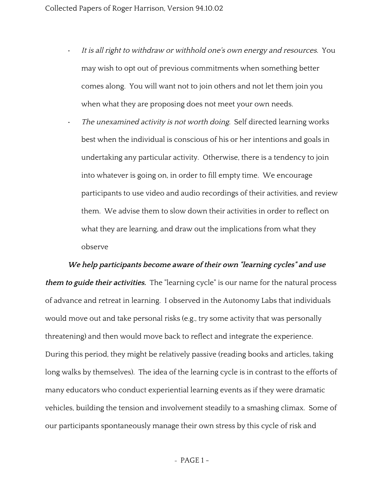- It is all right to withdraw or withhold one's own energy and resources. You may wish to opt out of previous commitments when something better comes along. You will want not to join others and not let them join you when what they are proposing does not meet your own needs.
	- The unexamined activity is not worth doing. Self directed learning works best when the individual is conscious of his or her intentions and goals in undertaking any particular activity. Otherwise, there is a tendency to join into whatever is going on, in order to fill empty time. We encourage participants to use video and audio recordings of their activities, and review them. We advise them to slow down their activities in order to reflect on what they are learning, and draw out the implications from what they observe

**We help participants become aware of their own "learning cycles" and use them to guide their activities.**The "learning cycle" is our name for the natural process of advance and retreat in learning. I observed in the Autonomy Labs that individuals would move out and take personal risks (e.g., try some activity that was personally threatening) and then would move back to reflect and integrate the experience. During this period, they might be relatively passive (reading books and articles, taking long walks by themselves). The idea of the learning cycle is in contrast to the efforts of many educators who conduct experiential learning events as if they were dramatic vehicles, building the tension and involvement steadily to a smashing climax. Some of our participants spontaneously manage their own stress by this cycle of risk and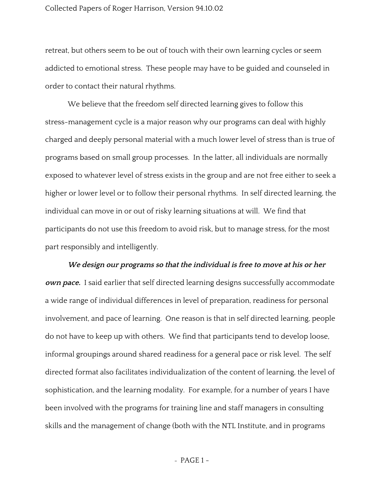retreat, but others seem to be out of touch with their own learning cycles or seem addicted to emotional stress. These people may have to be guided and counseled in order to contact their natural rhythms.

We believe that the freedom self directed learning gives to follow this stress-management cycle is a major reason why our programs can deal with highly charged and deeply personal material with a much lower level of stress than is true of programs based on small group processes. In the latter, all individuals are normally exposed to whatever level of stress exists in the group and are not free either to seek a higher or lower level or to follow their personal rhythms. In self directed learning, the individual can move in or out of risky learning situations at will. We find that participants do not use this freedom to avoid risk, but to manage stress, for the most part responsibly and intelligently.

**We design our programs so that the individual is free to move at his or her own pace.** I said earlier that self directed learning designs successfully accommodate a wide range of individual differences in level of preparation, readiness for personal involvement, and pace of learning. One reason is that in self directed learning, people do not have to keep up with others. We find that participants tend to develop loose, informal groupings around shared readiness for a general pace or risk level. The self directed format also facilitates individualization of the content of learning, the level of sophistication, and the learning modality. For example, for a number of years I have been involved with the programs for training line and staff managers in consulting skills and the management of change (both with the NTL Institute, and in programs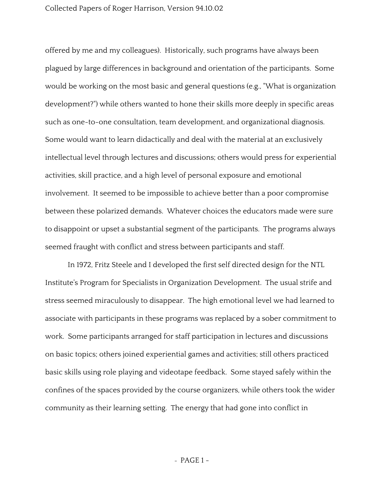offered by me and my colleagues). Historically, such programs have always been plagued by large differences in background and orientation of the participants. Some would be working on the most basic and general questions (e.g., "What is organization development?") while others wanted to hone their skills more deeply in specific areas such as one-to-one consultation, team development, and organizational diagnosis. Some would want to learn didactically and deal with the material at an exclusively intellectual level through lectures and discussions; others would press for experiential activities, skill practice, and a high level of personal exposure and emotional involvement. It seemed to be impossible to achieve better than a poor compromise between these polarized demands. Whatever choices the educators made were sure to disappoint or upset a substantial segment of the participants. The programs always seemed fraught with conflict and stress between participants and staff.

In 1972, Fritz Steele and I developed the first self directed design for the NTL Institute's Program for Specialists in Organization Development. The usual strife and stress seemed miraculously to disappear. The high emotional level we had learned to associate with participants in these programs was replaced by a sober commitment to work. Some participants arranged for staff participation in lectures and discussions on basic topics; others joined experiential games and activities; still others practiced basic skills using role playing and videotape feedback. Some stayed safely within the confines of the spaces provided by the course organizers, while others took the wider community as their learning setting. The energy that had gone into conflict in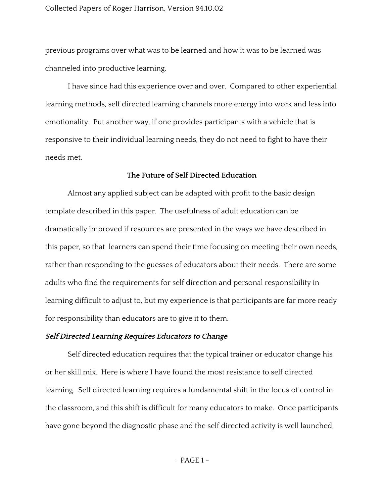previous programs over what was to be learned and how it was to be learned was channeled into productive learning.

I have since had this experience over and over. Compared to other experiential learning methods, self directed learning channels more energy into work and less into emotionality. Put another way, if one provides participants with a vehicle that is responsive to their individual learning needs, they do not need to fight to have their needs met.

# **The Future of Self Directed Education**

Almost any applied subject can be adapted with profit to the basic design template described in this paper. The usefulness of adult education can be dramatically improved if resources are presented in the ways we have described in this paper, so that learners can spend their time focusing on meeting their own needs, rather than responding to the guesses of educators about their needs. There are some adults who find the requirements for self direction and personal responsibility in learning difficult to adjust to, but my experience is that participants are far more ready for responsibility than educators are to give it to them.

#### **Self Directed Learning Requires Educators to Change**

Self directed education requires that the typical trainer or educator change his or her skill mix. Here is where I have found the most resistance to self directed learning. Self directed learning requires a fundamental shift in the locus of control in the classroom, and this shift is difficult for many educators to make. Once participants have gone beyond the diagnostic phase and the self directed activity is well launched,